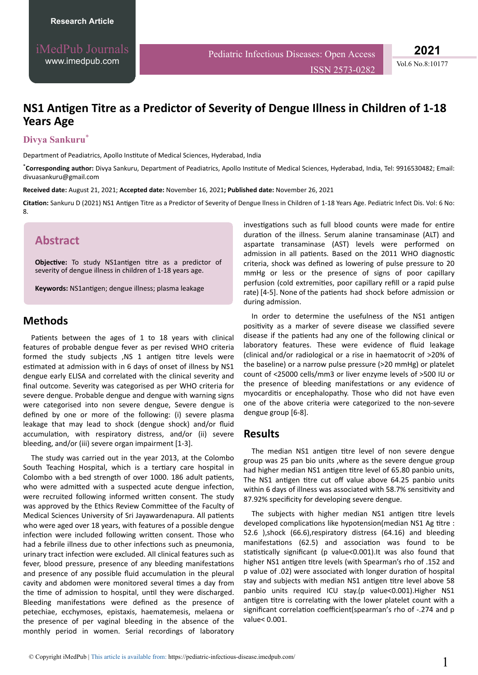Vol.6 No.8:10177

# **NS1 Antigen Titre as a Predictor of Severity of Dengue Illness in Children of 1-18 Years Age**

#### **Divya Sankuru**\*

Department of Peadiatrics, Apollo Institute of Medical Sciences, Hyderabad, India

\*Corresponding author: Divya Sankuru, Department of Peadiatrics, Apollo Institute of Medical Sciences, Hyderabad, India, Tel: 9916530482; Email: divuasankuru@gmail.com

**Received date:** August 21, 2021; **Accepted date:** November 16, 2021**; Published date:** November 26, 2021

Citation: Sankuru D (2021) NS1 Antigen Titre as a Predictor of Severity of Dengue Ilness in Children of 1-18 Years Age. Pediatric Infect Dis. Vol: 6 No: 8.

### **Abstract**

**Objective:** To study NS1antigen titre as a predictor of severity of dengue illness in children of 1-18 years age.

Keywords: NS1antigen; dengue illness; plasma leakage

### **Methods**

Patients between the ages of 1 to 18 years with clinical features of probable dengue fever as per revised WHO criteria formed the study subjects ,NS 1 antigen titre levels were estimated at admission with in 6 days of onset of illness by NS1 dengue early ELISA and correlated with the clinical severity and final outcome. Severity was categorised as per WHO criteria for severe dengue. Probable dengue and dengue with warning signs were categorised into non severe dengue, Severe dengue is defined by one or more of the following: (i) severe plasma leakage that may lead to shock (dengue shock) and/or fluid accumulation, with respiratory distress, and/or (ii) severe bleeding, and/or (iii) severe organ impairment [1-3].

The study was carried out in the year 2013, at the Colombo South Teaching Hospital, which is a tertiary care hospital in Colombo with a bed strength of over 1000. 186 adult patients, who were admitted with a suspected acute dengue infection, were recruited following informed written consent. The study was approved by the Ethics Review Committee of the Faculty of Medical Sciences University of Sri Jayawardenapura. All patients who were aged over 18 years, with features of a possible dengue infection were included following written consent. Those who had a febrile illness due to other infections such as pneumonia. urinary tract infection were excluded. All clinical features such as fever, blood pressure, presence of any bleeding manifestations and presence of any possible fluid accumulation in the pleural cavity and abdomen were monitored several times a day from the time of admission to hospital, until they were discharged. Bleeding manifestations were defined as the presence of petechiae, ecchymoses, epistaxis, haematemesis, melaena or the presence of per vaginal bleeding in the absence of the monthly period in women. Serial recordings of laboratory

investigations such as full blood counts were made for entire duration of the illness. Serum alanine transaminase (ALT) and aspartate transaminase (AST) levels were performed on admission in all patients. Based on the 2011 WHO diagnostic criteria, shock was defined as lowering of pulse pressure to 20 mmHg or less or the presence of signs of poor capillary perfusion (cold extremities, poor capillary refill or a rapid pulse rate) [4-5]. None of the patients had shock before admission or during admission.

ISSN 2573-0282

In order to determine the usefulness of the NS1 antigen positivity as a marker of severe disease we classified severe disease if the patients had any one of the following clinical or laboratory features. These were evidence of fluid leakage (clinical and/or radiological or a rise in haematocrit of >20% of the baseline) or a narrow pulse pressure (>20 mmHg) or platelet count of <25000 cells/mm3 or liver enzyme levels of >500 IU or the presence of bleeding manifestations or any evidence of myocarditis or encephalopathy. Those who did not have even one of the above criteria were categorized to the non-severe dengue group [6-8].

#### **Results**

The median NS1 antigen titre level of non severe dengue group was 25 pan bio units ,where as the severe dengue group had higher median NS1 antigen titre level of 65.80 panbio units, The NS1 antigen titre cut off value above 64.25 panbio units within 6 days of illness was associated with 58.7% sensitivity and 87.92% specificity for developing severe dengue.

The subjects with higher median NS1 antigen titre levels developed complications like hypotension(median NS1 Ag titre : 52.6 ),shock (66.6),respiratory distress (64.16) and bleeding manifestations (62.5) and association was found to be statistically significant (p value<0.001).It was also found that higher NS1 antigen titre levels (with Spearman's rho of .152 and p value of .02) were associated with longer duration of hospital stay and subjects with median NS1 antigen titre level above 58 panbio units required ICU stay.(p value<0.001).Higher NS1 antigen titre is correlating with the lower platelet count with a significant correlation coefficient (spearman's rho of -.274 and p value< 0.001.